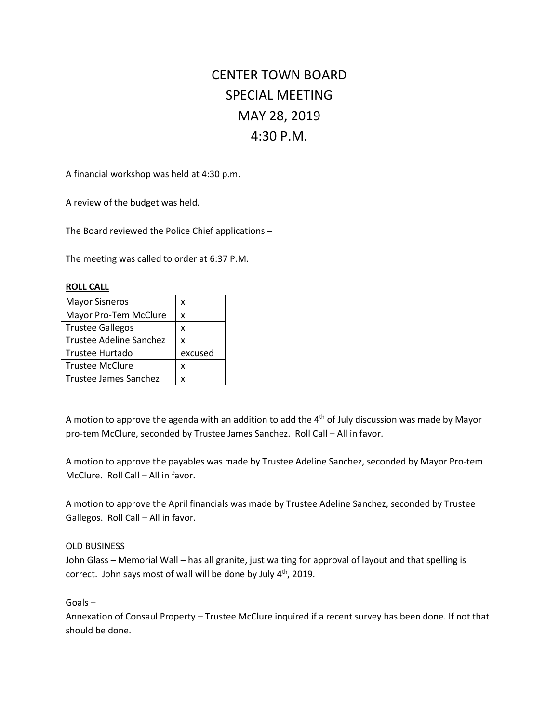## CENTER TOWN BOARD SPECIAL MEETING MAY 28, 2019 4:30 P.M.

A financial workshop was held at 4:30 p.m.

A review of the budget was held.

The Board reviewed the Police Chief applications –

The meeting was called to order at 6:37 P.M.

| <b>ROLL CALL</b>        |         |
|-------------------------|---------|
| <b>Mayor Sisneros</b>   | x       |
| Mayor Pro-Tem McClure   | x       |
| <b>Trustee Gallegos</b> | x       |
| Trustee Adeline Sanchez | x       |
| Trustee Hurtado         | excused |
| <b>Trustee McClure</b>  | x       |
| Trustee James Sanchez   | x       |

A motion to approve the agenda with an addition to add the  $4<sup>th</sup>$  of July discussion was made by Mayor pro-tem McClure, seconded by Trustee James Sanchez. Roll Call – All in favor.

A motion to approve the payables was made by Trustee Adeline Sanchez, seconded by Mayor Pro-tem McClure. Roll Call – All in favor.

A motion to approve the April financials was made by Trustee Adeline Sanchez, seconded by Trustee Gallegos. Roll Call – All in favor.

## OLD BUSINESS

John Glass – Memorial Wall – has all granite, just waiting for approval of layout and that spelling is correct. John says most of wall will be done by July 4<sup>th</sup>, 2019.

Goals –

Annexation of Consaul Property – Trustee McClure inquired if a recent survey has been done. If not that should be done.